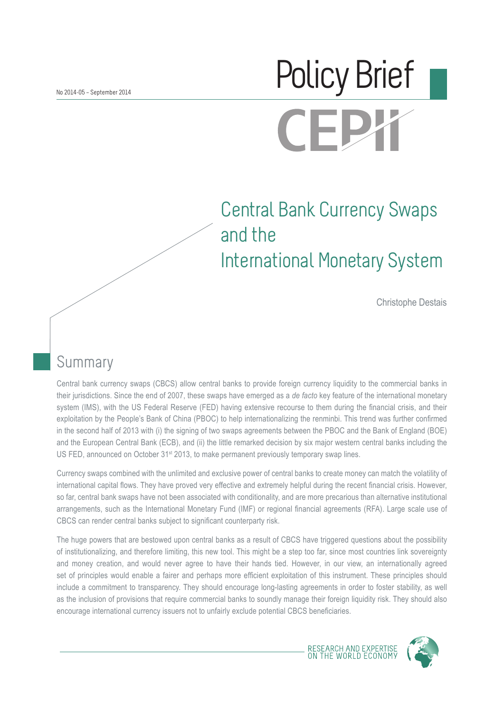# Policy BriefCEI

# Central Bank Currency Swaps and the International Monetary System

Christophe Destais

# **Summary**

Central bank currency swaps (CBCS) allow central banks to provide foreign currency liquidity to the commercial banks in their jurisdictions. Since the end of 2007, these swaps have emerged as a *de facto* key feature of the international monetary system (IMS), with the US Federal Reserve (FED) having extensive recourse to them during the financial crisis, and their exploitation by the People's Bank of China (PBOC) to help internationalizing the renminbi. This trend was further confirmed in the second half of 2013 with (i) the signing of two swaps agreements between the PBOC and the Bank of England (BOE) and the European Central Bank (ECB), and (ii) the little remarked decision by six major western central banks including the US FED, announced on October 31<sup>st</sup> 2013, to make permanent previously temporary swap lines.

Currency swaps combined with the unlimited and exclusive power of central banks to create money can match the volatility of international capital flows. They have proved very effective and extremely helpful during the recent financial crisis. However, so far, central bank swaps have not been associated with conditionality, and are more precarious than alternative institutional arrangements, such as the International Monetary Fund (IMF) or regional financial agreements (RFA). Large scale use of CBCS can render central banks subject to significant counterparty risk.

The huge powers that are bestowed upon central banks as a result of CBCS have triggered questions about the possibility of institutionalizing, and therefore limiting, this new tool. This might be a step too far, since most countries link sovereignty and money creation, and would never agree to have their hands tied. However, in our view, an internationally agreed set of principles would enable a fairer and perhaps more efficient exploitation of this instrument. These principles should include a commitment to transparency. They should encourage long-lasting agreements in order to foster stability, as well as the inclusion of provisions that require commercial banks to soundly manage their foreign liquidity risk. They should also encourage international currency issuers not to unfairly exclude potential CBCS beneficiaries.



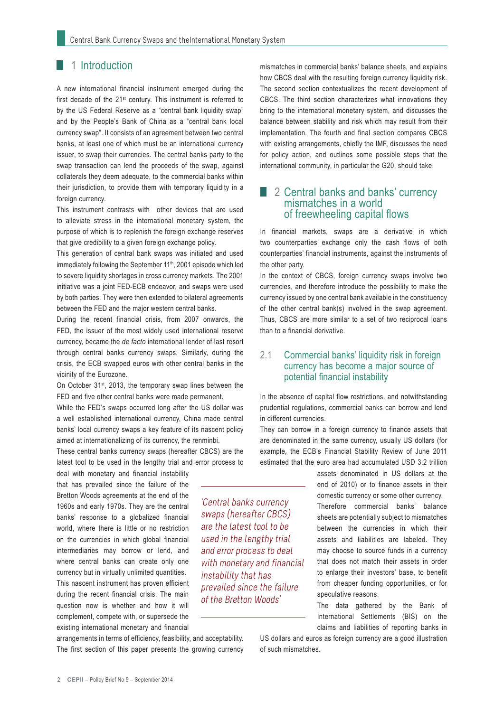#### 1 1 Introduction

A new international financial instrument emerged during the first decade of the 21st century. This instrument is referred to by the US Federal Reserve as a "central bank liquidity swap" and by the People's Bank of China as a "central bank local currency swap". It consists of an agreement between two central banks, at least one of which must be an international currency issuer, to swap their currencies. The central banks party to the swap transaction can lend the proceeds of the swap, against collaterals they deem adequate, to the commercial banks within their jurisdiction, to provide them with temporary liquidity in a foreign currency.

This instrument contrasts with other devices that are used to alleviate stress in the international monetary system, the purpose of which is to replenish the foreign exchange reserves that give credibility to a given foreign exchange policy.

This generation of central bank swaps was initiated and used immediately following the September 11<sup>th</sup>, 2001 episode which led to severe liquidity shortages in cross currency markets. The 2001 initiative was a joint FED-ECB endeavor, and swaps were used by both parties. They were then extended to bilateral agreements between the FED and the major western central banks.

During the recent financial crisis, from 2007 onwards, the FED, the issuer of the most widely used international reserve currency, became the *de facto* international lender of last resort through central banks currency swaps. Similarly, during the crisis, the ECB swapped euros with other central banks in the vicinity of the Eurozone.

On October 31st, 2013, the temporary swap lines between the FED and five other central banks were made permanent.

While the FED's swaps occurred long after the US dollar was a well established international currency, China made central banks' local currency swaps a key feature of its nascent policy aimed at internationalizing of its currency, the renminbi.

These central banks currency swaps (hereafter CBCS) are the latest tool to be used in the lengthy trial and error process to

deal with monetary and financial instability that has prevailed since the failure of the Bretton Woods agreements at the end of the 1960s and early 1970s. They are the central banks' response to a globalized financial world, where there is little or no restriction on the currencies in which global financial intermediaries may borrow or lend, and where central banks can create only one currency but in virtually unlimited quantities. This nascent instrument has proven efficient during the recent financial crisis. The main question now is whether and how it will complement, compete with, or supersede the existing international monetary and financial

arrangements in terms of efficiency, feasibility, and acceptability. The first section of this paper presents the growing currency mismatches in commercial banks' balance sheets, and explains how CBCS deal with the resulting foreign currency liquidity risk. The second section contextualizes the recent development of CBCS. The third section characterizes what innovations they bring to the international monetary system, and discusses the balance between stability and risk which may result from their implementation. The fourth and final section compares CBCS with existing arrangements, chiefly the IMF, discusses the need for policy action, and outlines some possible steps that the international community, in particular the G20, should take.

#### 2 Central banks and banks' currency mismatches in a world of freewheeling capital flows

In financial markets, swaps are a derivative in which two counterparties exchange only the cash flows of both counterparties' financial instruments, against the instruments of the other party.

In the context of CBCS, foreign currency swaps involve two currencies, and therefore introduce the possibility to make the currency issued by one central bank available in the constituency of the other central bank(s) involved in the swap agreement. Thus, CBCS are more similar to a set of two reciprocal loans than to a financial derivative.

#### 2.1 Commercial banks' liquidity risk in foreign currency has become a major source of potential financial instability

In the absence of capital flow restrictions, and notwithstanding prudential regulations, commercial banks can borrow and lend in different currencies.

They can borrow in a foreign currency to finance assets that are denominated in the same currency, usually US dollars (for example, the ECB's Financial Stability Review of June 2011 estimated that the euro area had accumulated USD 3.2 trillion

> assets denominated in US dollars at the end of 2010) or to finance assets in their domestic currency or some other currency. Therefore commercial banks' balance sheets are potentially subject to mismatches between the currencies in which their assets and liabilities are labeled. They may choose to source funds in a currency that does not match their assets in order to enlarge their investors' base, to benefit from cheaper funding opportunities, or for speculative reasons.

> The data gathered by the Bank of International Settlements (BIS) on the claims and liabilities of reporting banks in

US dollars and euros as foreign currency are a good illustration of such mismatches.

'Central banks currency swaps (hereafter CBCS) are the latest tool to be used in the lengthy trial and error process to deal with monetary and financial instability that has prevailed since the failure of the Bretton Woods'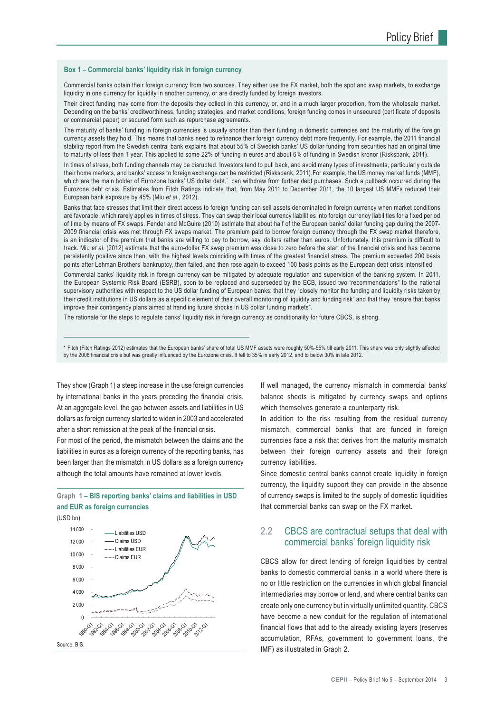#### **Box 1 – Commercial banks' liquidity risk in foreign currency**

Commercial banks obtain their foreign currency from two sources. They either use the FX market, both the spot and swap markets, to exchange liquidity in one currency for liquidity in another currency, or are directly funded by foreign investors.

Their direct funding may come from the deposits they collect in this currency, or, and in a much larger proportion, from the wholesale market. Depending on the banks' creditworthiness, funding strategies, and market conditions, foreign funding comes in unsecured (certificate of deposits or commercial paper) or secured form such as repurchase agreements.

The maturity of banks' funding in foreign currencies is usually shorter than their funding in domestic currencies and the maturity of the foreign currency assets they hold. This means that banks need to refinance their foreign currency debt more frequently. For example, the 2011 financial stability report from the Swedish central bank explains that about 55% of Swedish banks' US dollar funding from securities had an original time to maturity of less than 1 year. This applied to some 22% of funding in euros and about 6% of funding in Swedish kronor (Risksbank, 2011).

In times of stress, both funding channels may be disrupted. Investors tend to pull back, and avoid many types of investments, particularly outside their home markets, and banks' access to foreign exchange can be restricted (Risksbank, 2011).For example, the US money market funds (MMF), which are the main holder of Eurozone banks' US dollar debt,\* can withdraw from further debt purchases. Such a pullback occurred during the Eurozone debt crisis. Estimates from Fitch Ratings indicate that, from May 2011 to December 2011, the 10 largest US MMFs reduced their European bank exposure by 45% (Miu *et al.*, 2012).

Banks that face stresses that limit their direct access to foreign funding can sell assets denominated in foreign currency when market conditions are favorable, which rarely applies in times of stress. They can swap their local currency liabilities into foreign currency liabilities for a fixed period of time by means of FX swaps. Fender and McGuire (2010) estimate that about half of the European banks' dollar funding gap during the 2007- 2009 financial crisis was met through FX swaps market. The premium paid to borrow foreign currency through the FX swap market therefore, is an indicator of the premium that banks are willing to pay to borrow, say, dollars rather than euros. Unfortunately, this premium is difficult to track. Miu *et al.* (2012) estimate that the euro-dollar FX swap premium was close to zero before the start of the financial crisis and has become persistently positive since then, with the highest levels coinciding with times of the greatest financial stress. The premium exceeded 200 basis points after Lehman Brothers' bankruptcy, then failed, and then rose again to exceed 100 basis points as the European debt crisis intensified.

Commercial banks' liquidity risk in foreign currency can be mitigated by adequate regulation and supervision of the banking system. In 2011, the European Systemic Risk Board (ESRB), soon to be replaced and superseded by the ECB, issued two "recommendations" to the national supervisory authorities with respect to the US dollar funding of European banks: that they "closely monitor the funding and liquidity risks taken by their credit institutions in US dollars as a specific element of their overall monitoring of liquidity and funding risk" and that they "ensure that banks improve their contingency plans aimed at handling future shocks in US dollar funding markets".

The rationale for the steps to regulate banks' liquidity risk in foreign currency as conditionality for future CBCS, is strong.

\* Fitch (Fitch Ratings 2012) estimates that the European banks' share of total US MMF assets were roughly 50%-55% till early 2011. This share was only slightly affected by the 2008 financial crisis but was greatly influenced by the Eurozone crisis. It fell to 35% in early 2012, and to below 30% in late 2012.

They show (Graph 1) a steep increase in the use foreign currencies by international banks in the years preceding the financial crisis. At an aggregate level, the gap between assets and liabilities in US dollars as foreign currency started to widen in 2003 and accelerated after a short remission at the peak of the financial crisis.

For most of the period, the mismatch between the claims and the liabilities in euros as a foreign currency of the reporting banks, has been larger than the mismatch in US dollars as a foreign currency although the total amounts have remained at lower levels.



(USD bn)



If well managed, the currency mismatch in commercial banks' balance sheets is mitigated by currency swaps and options which themselves generate a counterparty risk.

In addition to the risk resulting from the residual currency mismatch, commercial banks' that are funded in foreign currencies face a risk that derives from the maturity mismatch between their foreign currency assets and their foreign currency liabilities.

Since domestic central banks cannot create liquidity in foreign currency, the liquidity support they can provide in the absence of currency swaps is limited to the supply of domestic liquidities that commercial banks can swap on the FX market.

#### 2.2 CBCS are contractual setups that deal with commercial banks' foreign liquidity risk

CBCS allow for direct lending of foreign liquidities by central banks to domestic commercial banks in a world where there is no or little restriction on the currencies in which global financial intermediaries may borrow or lend, and where central banks can create only one currency but in virtually unlimited quantity. CBCS have become a new conduit for the regulation of international financial flows that add to the already existing layers (reserves accumulation, RFAs, government to government loans, the IMF) as illustrated in Graph 2.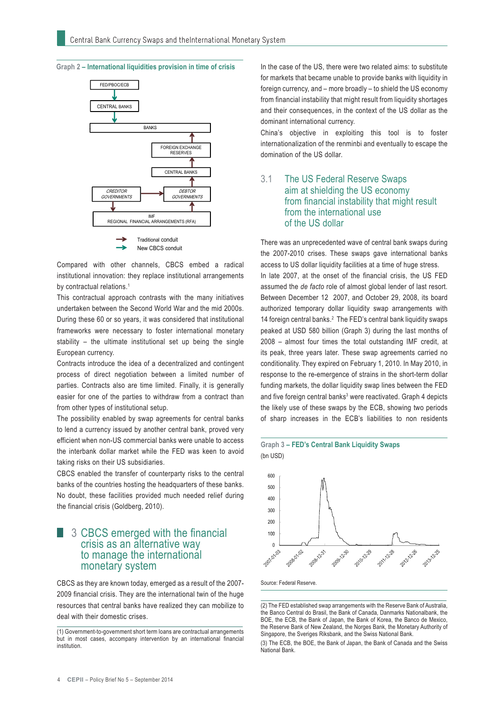



Compared with other channels, CBCS embed a radical institutional innovation: they replace institutional arrangements by contractual relations.<sup>1</sup>

This contractual approach contrasts with the many initiatives undertaken between the Second World War and the mid 2000s. During these 60 or so years, it was considered that institutional frameworks were necessary to foster international monetary stability – the ultimate institutional set up being the single European currency.

Contracts introduce the idea of a decentralized and contingent process of direct negotiation between a limited number of parties. Contracts also are time limited. Finally, it is generally easier for one of the parties to withdraw from a contract than from other types of institutional setup.

The possibility enabled by swap agreements for central banks to lend a currency issued by another central bank, proved very efficient when non-US commercial banks were unable to access the interbank dollar market while the FED was keen to avoid taking risks on their US subsidiaries.

CBCS enabled the transfer of counterparty risks to the central banks of the countries hosting the headquarters of these banks. No doubt, these facilities provided much needed relief during the financial crisis (Goldberg, 2010).

#### 3 CBCS emerged with the financial crisis as an alternative way to manage the international monetary system

CBCS as they are known today, emerged as a result of the 2007- 2009 financial crisis. They are the international twin of the huge resources that central banks have realized they can mobilize to deal with their domestic crises.

(1) Government-to-government short term loans are contractual arrangements but in most cases, accompany intervention by an international financial institution.

In the case of the US, there were two related aims: to substitute for markets that became unable to provide banks with liquidity in foreign currency, and – more broadly – to shield the US economy from financial instability that might result from liquidity shortages and their consequences, in the context of the US dollar as the dominant international currency.

China's objective in exploiting this tool is to foster internationalization of the renminbi and eventually to escape the domination of the US dollar.

#### 3.1 The US Federal Reserve Swaps aim at shielding the US economy from financial instability that might result from the international use of the US dollar

There was an unprecedented wave of central bank swaps during the 2007-2010 crises. These swaps gave international banks access to US dollar liquidity facilities at a time of huge stress. In late 2007, at the onset of the financial crisis, the US FED assumed the *de facto* role of almost global lender of last resort. Between December 12 2007, and October 29, 2008, its board authorized temporary dollar liquidity swap arrangements with 14 foreign central banks.2 The FED's central bank liquidity swaps peaked at USD 580 billion (Graph 3) during the last months of 2008 – almost four times the total outstanding IMF credit, at its peak, three years later. These swap agreements carried no conditionality. They expired on February 1, 2010. In May 2010, in response to the re-emergence of strains in the short-term dollar funding markets, the dollar liquidity swap lines between the FED and five foreign central banks<sup>3</sup> were reactivated. Graph 4 depicts the likely use of these swaps by the ECB, showing two periods of sharp increases in the ECB's liabilities to non residents





Source: Federal Reserve.

<sup>(2)</sup> The FED established swap arrangements with the Reserve Bank of Australia, the Banco Central do Brasil, the Bank of Canada, Danmarks Nationalbank, the BOE, the ECB, the Bank of Japan, the Bank of Korea, the Banco de Mexico, the Reserve Bank of New Zealand, the Norges Bank, the Monetary Authority of Singapore, the Sveriges Riksbank, and the Swiss National Bank.

<sup>(3)</sup> The ECB, the BOE, the Bank of Japan, the Bank of Canada and the Swiss National Bank.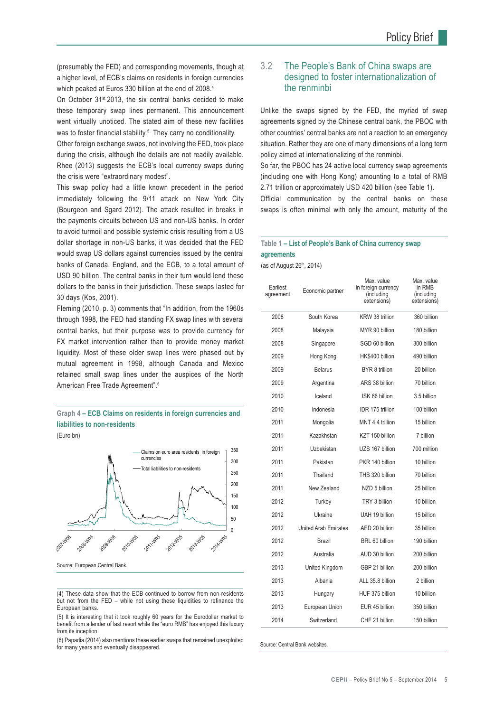(presumably the FED) and corresponding movements, though at a higher level, of ECB's claims on residents in foreign currencies which peaked at Euros 330 billion at the end of 2008.<sup>4</sup>

On October 31st 2013, the six central banks decided to make these temporary swap lines permanent. This announcement went virtually unoticed. The stated aim of these new facilities was to foster financial stability.<sup>5</sup> They carry no conditionality.

Other foreign exchange swaps, not involving the FED, took place during the crisis, although the details are not readily available. Rhee (2013) suggests the ECB's local currency swaps during the crisis were "extraordinary modest".

This swap policy had a little known precedent in the period immediately following the 9/11 attack on New York City (Bourgeon and Sgard 2012). The attack resulted in breaks in the payments circuits between US and non-US banks. In order to avoid turmoil and possible systemic crisis resulting from a US dollar shortage in non-US banks, it was decided that the FED would swap US dollars against currencies issued by the central banks of Canada, England, and the ECB, to a total amount of USD 90 billion. The central banks in their turn would lend these dollars to the banks in their jurisdiction. These swaps lasted for 30 days (Kos, 2001).

Fleming (2010, p. 3) comments that "In addition, from the 1960s through 1998, the FED had standing FX swap lines with several central banks, but their purpose was to provide currency for FX market intervention rather than to provide money market liquidity. Most of these older swap lines were phased out by mutual agreement in 1998, although Canada and Mexico retained small swap lines under the auspices of the North American Free Trade Agreement".<sup>6</sup>

#### **Graph 4 – ECB Claims on residents in foreign currencies and liabilities to non-residents**

(Euro bn)



Source: European Central Bank.

(4) These data show that the ECB continued to borrow from non-residents  $\mu$ ut not from the FED – while not using these liquidities to refinance the European banks.

(5) It is interesting that it took roughly 60 years for the Eurodollar market to benefit from a lender of last resort while the "euro RMB" has enjoyed this luxury from its inception.

(6) Papadia (2014) also mentions these earlier swaps that remained unexploited for many years and eventually disappeared.

#### 3.2 The People's Bank of China swaps are designed to foster internationalization of the renminbi

Unlike the swaps signed by the FED, the myriad of swap agreements signed by the Chinese central bank, the PBOC with other countries' central banks are not a reaction to an emergency situation. Rather they are one of many dimensions of a long term policy aimed at internationalizing of the renminbi.

So far, the PBOC has 24 active local currency swap agreements (including one with Hong Kong) amounting to a total of RMB 2.71 trillion or approximately USD 420 billion (see Table 1).

Official communication by the central banks on these swaps is often minimal with only the amount, maturity of the

#### **Table 1 – List of People's Bank of China currency swap agreements**

(as of August  $26<sup>th</sup>$ , 2014)

| Earliest<br>agreement | Economic partner            | Max. value<br>in foreign currency<br>(including<br>extensions) | Max. value<br>in RMB<br>(including<br>extensions) |
|-----------------------|-----------------------------|----------------------------------------------------------------|---------------------------------------------------|
| 2008                  | South Korea                 | KRW 38 trillion                                                | 360 billion                                       |
| 2008                  | Malaysia                    | MYR 90 billion                                                 | 180 billion                                       |
| 2008                  | Singapore                   | SGD 60 billion                                                 | 300 billion                                       |
| 2009                  | Hong Kong                   | HK\$400 billion                                                | 490 billion                                       |
| 2009                  | <b>Belarus</b>              | BYR 8 trillion                                                 | 20 billion                                        |
| 2009                  | Argentina                   | ARS 38 billion                                                 | 70 billion                                        |
| 2010                  | Iceland                     | ISK 66 billion                                                 | 3.5 billion                                       |
| 2010                  | Indonesia                   | IDR 175 trillion                                               | 100 billion                                       |
| 2011                  | Mongolia                    | MNT 4.4 trillion                                               | 15 billion                                        |
| 2011                  | Kazakhstan                  | KZT 150 billion                                                | 7 hillion                                         |
| 2011                  | Uzbekistan                  | UZS 167 billion                                                | 700 million                                       |
| 2011                  | Pakistan                    | PKR 140 billion                                                | 10 billion                                        |
| 2011                  | Thailand                    | THB 320 billion                                                | 70 billion                                        |
| 2011                  | New Zealand                 | NZD 5 billion                                                  | 25 billion                                        |
| 2012                  | Turkey                      | TRY 3 billion                                                  | 10 billion                                        |
| 2012                  | Ukraine                     | UAH 19 billion                                                 | 15 billion                                        |
| 2012                  | <b>United Arab Emirates</b> | AED 20 billion                                                 | 35 billion                                        |
| 2012                  | Brazil                      | BRL 60 billion                                                 | 190 billion                                       |
| 2012                  | Australia                   | AUD 30 billion                                                 | 200 billion                                       |
| 2013                  | United Kingdom              | GBP 21 billion                                                 | 200 billion                                       |
| 2013                  | Albania                     | ALL 35.8 billion                                               | 2 billion                                         |
| 2013                  | Hungary                     | HUF 375 billion                                                | 10 billion                                        |
| 2013                  | European Union              | EUR 45 billion                                                 | 350 billion                                       |
| 2014                  | Switzerland                 | CHF 21 billion                                                 | 150 billion                                       |

Source: Central Bank websites.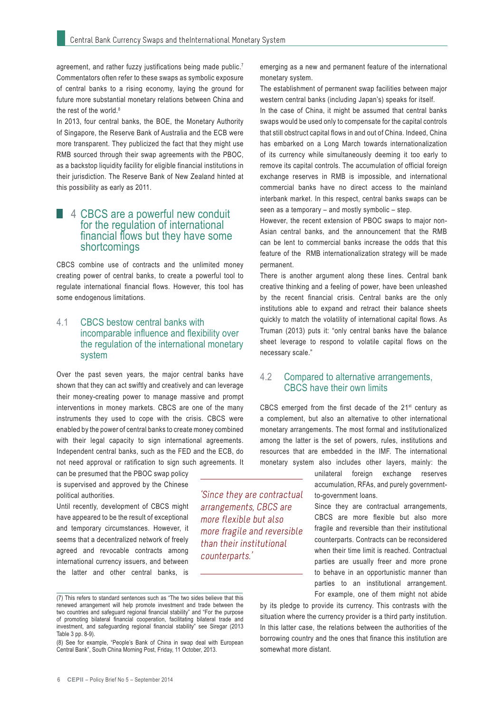agreement, and rather fuzzy justifications being made public.<sup>7</sup> Commentators often refer to these swaps as symbolic exposure of central banks to a rising economy, laying the ground for future more substantial monetary relations between China and the rest of the world.<sup>8</sup>

In 2013, four central banks, the BOE, the Monetary Authority of Singapore, the Reserve Bank of Australia and the ECB were more transparent. They publicized the fact that they might use RMB sourced through their swap agreements with the PBOC, as a backstop liquidity facility for eligible financial institutions in their jurisdiction. The Reserve Bank of New Zealand hinted at this possibility as early as 2011.

#### 4 CBCS are a powerful new conduit for the regulation of international financial flows but they have some shortcomings

CBCS combine use of contracts and the unlimited money creating power of central banks, to create a powerful tool to regulate international financial flows. However, this tool has some endogenous limitations.

#### 4.1 CBCS bestow central banks with incomparable influence and flexibility over the regulation of the international monetary system

Over the past seven years, the major central banks have shown that they can act swiftly and creatively and can leverage their money-creating power to manage massive and prompt interventions in money markets. CBCS are one of the many instruments they used to cope with the crisis. CBCS were enabled by the power of central banks to create money combined with their legal capacity to sign international agreements. Independent central banks, such as the FED and the ECB, do not need approval or ratification to sign such agreements. It

can be presumed that the PBOC swap policy is supervised and approved by the Chinese political authorities.

Until recently, development of CBCS might have appeared to be the result of exceptional and temporary circumstances. However, it seems that a decentralized network of freely agreed and revocable contracts among international currency issuers, and between the latter and other central banks, is

(8) See for example, "People's Bank of China in swap deal with European Central Bank", South China Morning Post, Friday, 11 October, 2013.

emerging as a new and permanent feature of the international monetary system.

The establishment of permanent swap facilities between major western central banks (including Japan's) speaks for itself.

In the case of China, it might be assumed that central banks swaps would be used only to compensate for the capital controls that still obstruct capital flows in and out of China. Indeed, China has embarked on a Long March towards internationalization of its currency while simultaneously deeming it too early to remove its capital controls. The accumulation of official foreign exchange reserves in RMB is impossible, and international commercial banks have no direct access to the mainland interbank market. In this respect, central banks swaps can be seen as a temporary – and mostly symbolic – step.

However, the recent extension of PBOC swaps to major non-Asian central banks, and the announcement that the RMB can be lent to commercial banks increase the odds that this feature of the RMB internationalization strategy will be made permanent.

There is another argument along these lines. Central bank creative thinking and a feeling of power, have been unleashed by the recent financial crisis. Central banks are the only institutions able to expand and retract their balance sheets quickly to match the volatility of international capital flows. As Truman (2013) puts it: "only central banks have the balance sheet leverage to respond to volatile capital flows on the necessary scale."

#### 4.2 Compared to alternative arrangements, CBCS have their own limits

CBCS emerged from the first decade of the  $21<sup>st</sup>$  century as a complement, but also an alternative to other international monetary arrangements. The most formal and institutionalized among the latter is the set of powers, rules, institutions and resources that are embedded in the IMF. The international monetary system also includes other layers, mainly: the

'Since they are contractual arrangements, CBCS are more flexible but also more fragile and reversible than their institutional

counterparts.'

unilateral foreign exchange reserves accumulation, RFAs, and purely governmentto-government loans.

Since they are contractual arrangements, CBCS are more flexible but also more fragile and reversible than their institutional counterparts. Contracts can be reconsidered when their time limit is reached. Contractual parties are usually freer and more prone to behave in an opportunistic manner than parties to an institutional arrangement. For example, one of them might not abide

by its pledge to provide its currency. This contrasts with the situation where the currency provider is a third party institution. In this latter case, the relations between the authorities of the borrowing country and the ones that finance this institution are somewhat more distant.

<sup>(7)</sup> This refers to standard sentences such as "The two sides believe that this renewed arrangement will help promote investment and trade between the two countries and safeguard regional financial stability" and "For the purpose of promoting bilateral financial cooperation, facilitating bilateral trade and investment, and safeguarding regional financial stability" see Siregar (2013 Table 3 pp. 8-9).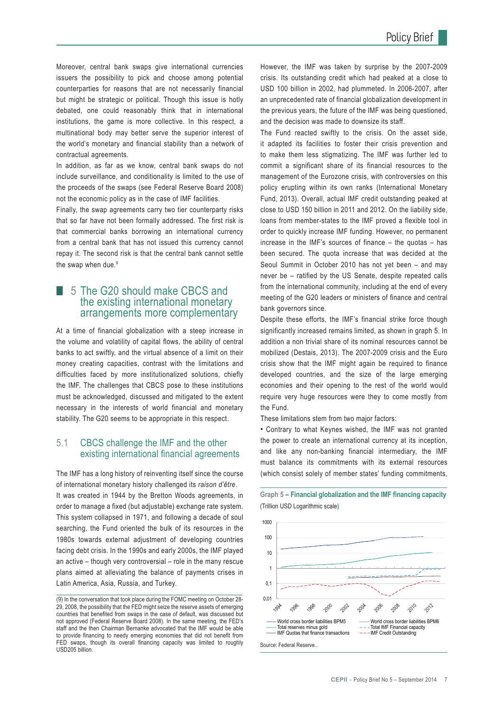Moreover, central bank swaps give international currencies issuers the possibility to pick and choose among potential counterparties for reasons that are not necessarily financial but might be strategic or political. Though this issue is hotly debated, one could reasonably think that in international institutions, the game is more collective. In this respect, a multinational body may better serve the superior interest of the world's monetary and financial stability than a network of contractual agreements.

In addition, as far as we know, central bank swaps do not include surveillance, and conditionality is limited to the use of the proceeds of the swaps (see Federal Reserve Board 2008) not the economic policy as in the case of IMF facilities.

Finally, the swap agreements carry two tier counterparty risks that so far have not been formally addressed. The first risk is that commercial banks borrowing an international currency from a central bank that has not issued this currency cannot repay it. The second risk is that the central bank cannot settle the swap when due.<sup>9</sup>

#### ■ 5 The G20 should make CBCS and the existing international monetary arrangements more complementary

At a time of financial globalization with a steep increase in the volume and volatility of capital flows, the ability of central banks to act swiftly, and the virtual absence of a limit on their money creating capacities, contrast with the limitations and difficulties faced by more institutionalized solutions, chiefly the IMF. The challenges that CBCS pose to these institutions must be acknowledged, discussed and mitigated to the extent necessary in the interests of world financial and monetary stability. The G20 seems to be appropriate in this respect.

#### 5.1 CBCS challenge the IMF and the other existing international financial agreements

The IMF has a long history of reinventing itself since the course of international monetary history challenged its *raison d'être*. It was created in 1944 by the Bretton Woods agreements, in order to manage a fixed (but adjustable) exchange rate system. This system collapsed in 1971, and following a decade of soul searching, the Fund oriented the bulk of its resources in the 1980s towards external adjustment of developing countries facing debt crisis. In the 1990s and early 2000s, the IMF played an active – though very controversial – role in the many rescue plans aimed at alleviating the balance of payments crises in Latin America, Asia, Russia, and Turkey.

However, the IMF was taken by surprise by the 2007-2009 crisis. Its outstanding credit which had peaked at a close to USD 100 billion in 2002, had plummeted. In 2006-2007, after an unprecedented rate of financial globalization development in the previous years, the future of the IMF was being questioned, and the decision was made to downsize its staff.

The Fund reacted swiftly to the crisis. On the asset side, it adapted its facilities to foster their crisis prevention and to make them less stigmatizing. The IMF was further led to commit a significant share of its financial resources to the management of the Eurozone crisis, with controversies on this policy erupting within its own ranks (International Monetary Fund, 2013). Overall, actual IMF credit outstanding peaked at close to USD 150 billion in 2011 and 2012. On the liability side, loans from member-states to the IMF proved a flexible tool in order to quickly increase IMF funding. However, no permanent increase in the IMF's sources of finance – the quotas – has been secured. The quota increase that was decided at the Seoul Summit in October 2010 has not yet been – and may never be – ratified by the US Senate, despite repeated calls from the international community, including at the end of every meeting of the G20 leaders or ministers of finance and central bank governors since.

Despite these efforts, the IMF's financial strike force though significantly increased remains limited, as shown in graph 5. In addition a non trivial share of its nominal resources cannot be mobilized (Destais, 2013). The 2007-2009 crisis and the Euro crisis show that the IMF might again be required to finance developed countries, and the size of the large emerging economies and their opening to the rest of the world would require very huge resources were they to come mostly from the Fund.

These limitations stem from two major factors:

• Contrary to what Keynes wished, the IMF was not granted the power to create an international currency at its inception, and like any non-banking financial intermediary, the IMF must balance its commitments with its external resources (which consist solely of member states' funding commitments,



**Graph 5 – Financial globalization and the IMF financing capacity** (Trillion USD Logarithmic scale**)**

<sup>(9)</sup> In the conversation that took place during the FOMC meeting on October 28- 29, 2008, the possibility that the FED might seize the reserve assets of emerging countries that benefited from swaps in the case of default, was discussed but not approved (Federal Reserve Board 2008). In the same meeting, the FED's staff and the then Chairman Bernanke advocated that the IMF would be able to provide financing to needy emerging economies that did not benefit from FED swaps, though its overall financing capacity was limited to roughly USD205 billion.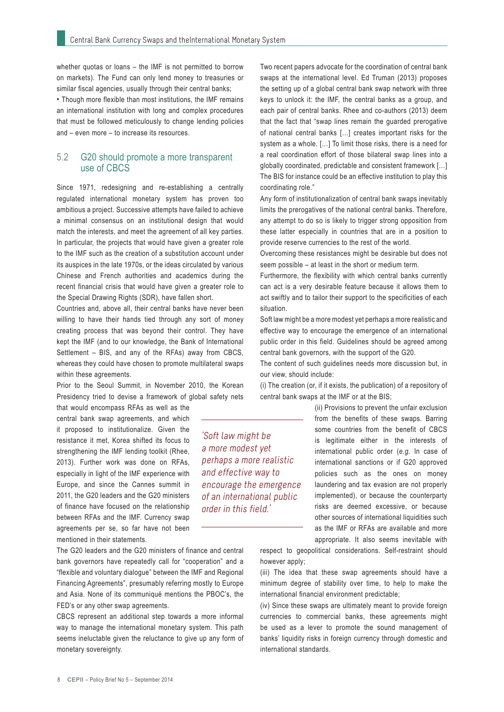whether quotas or loans – the IMF is not permitted to borrow on markets). The Fund can only lend money to treasuries or similar fiscal agencies, usually through their central banks; • Though more flexible than most institutions, the IMF remains an international institution with long and complex procedures that must be followed meticulously to change lending policies and – even more – to increase its resources.

#### 5.2 G20 should promote a more transparent use of CBCS

Since 1971, redesigning and re-establishing a centrally regulated international monetary system has proven too ambitious a project. Successive attempts have failed to achieve a minimal consensus on an institutional design that would match the interests, and meet the agreement of all key parties. In particular, the projects that would have given a greater role to the IMF such as the creation of a substitution account under its auspices in the late 1970s, or the ideas circulated by various Chinese and French authorities and academics during the recent financial crisis that would have given a greater role to the Special Drawing Rights (SDR), have fallen short.

Countries and, above all, their central banks have never been willing to have their hands tied through any sort of money creating process that was beyond their control. They have kept the IMF (and to our knowledge, the Bank of International Settlement – BIS, and any of the RFAs) away from CBCS, whereas they could have chosen to promote multilateral swaps within these agreements.

Prior to the Seoul Summit, in November 2010, the Korean Presidency tried to devise a framework of global safety nets

that would encompass RFAs as well as the central bank swap agreements, and which it proposed to institutionalize. Given the resistance it met, Korea shifted its focus to strengthening the IMF lending toolkit (Rhee, 2013). Further work was done on RFAs, especially in light of the IMF experience with Europe, and since the Cannes summit in 2011, the G20 leaders and the G20 ministers of finance have focused on the relationship between RFAs and the IMF. Currency swap agreements per se, so far have not been mentioned in their statements.

The G20 leaders and the G20 ministers of finance and central bank governors have repeatedly call for "cooperation" and a "flexible and voluntary dialogue" between the IMF and Regional Financing Agreements", presumably referring mostly to Europe and Asia. None of its communiqué mentions the PBOC's, the FED's or any other swap agreements.

CBCS represent an additional step towards a more informal way to manage the international monetary system. This path seems ineluctable given the reluctance to give up any form of monetary sovereignty.

Two recent papers advocate for the coordination of central bank swaps at the international level. Ed Truman (2013) proposes the setting up of a global central bank swap network with three keys to unlock it: the IMF, the central banks as a group, and each pair of central banks. Rhee and co-authors (2013) deem that the fact that "swap lines remain the guarded prerogative of national central banks […] creates important risks for the system as a whole. […] To limit those risks, there is a need for a real coordination effort of those bilateral swap lines into a globally coordinated, predictable and consistent framework […] The BIS for instance could be an effective institution to play this coordinating role."

Any form of institutionalization of central bank swaps inevitably limits the prerogatives of the national central banks. Therefore, any attempt to do so is likely to trigger strong opposition from these latter especially in countries that are in a position to provide reserve currencies to the rest of the world.

Overcoming these resistances might be desirable but does not seem possible – at least in the short or medium term.

Furthermore, the flexibility with which central banks currently can act is a very desirable feature because it allows them to act swiftly and to tailor their support to the specificities of each situation.

Soft law might be a more modest yet perhaps a more realistic and effective way to encourage the emergence of an international public order in this field. Guidelines should be agreed among central bank governors, with the support of the G20.

The content of such guidelines needs more discussion but, in our view, should include:

(i) The creation (or, if it exists, the publication) of a repository of central bank swaps at the IMF or at the BIS;

> (ii) Provisions to prevent the unfair exclusion from the benefits of these swaps. Barring some countries from the benefit of CBCS is legitimate either in the interests of international public order (*e.g.* In case of international sanctions or if G20 approved policies such as the ones on money laundering and tax evasion are not properly implemented), or because the counterparty risks are deemed excessive, or because other sources of international liquidities such as the IMF or RFAs are available and more appropriate. It also seems inevitable with

respect to geopolitical considerations. Self-restraint should however apply;

(iii) The idea that these swap agreements should have a minimum degree of stability over time, to help to make the international financial environment predictable;

(iv) Since these swaps are ultimately meant to provide foreign currencies to commercial banks, these agreements might be used as a lever to promote the sound management of banks' liquidity risks in foreign currency through domestic and international standards.

'Soft law might be a more modest yet perhaps a more realistic and effective way to encourage the emergence of an international public order in this field.'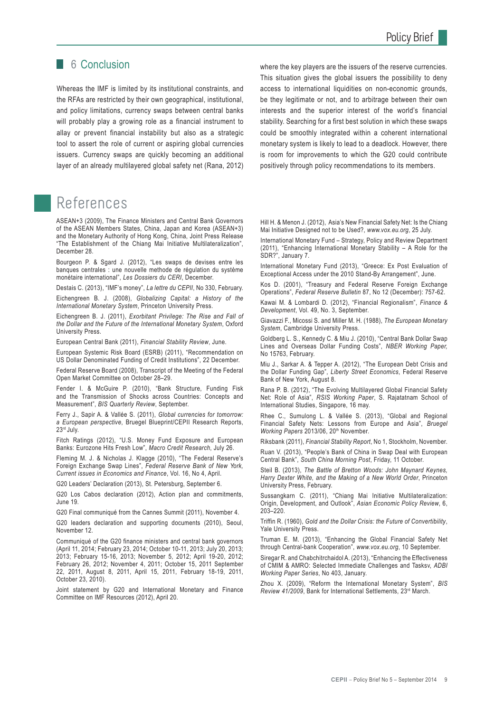#### 6 Conclusion

Whereas the IMF is limited by its institutional constraints, and the RFAs are restricted by their own geographical, institutional, and policy limitations, currency swaps between central banks will probably play a growing role as a financial instrument to allay or prevent financial instability but also as a strategic tool to assert the role of current or aspiring global currencies issuers. Currency swaps are quickly becoming an additional layer of an already multilayered global safety net (Rana, 2012)

# References

ASEAN+3 (2009), The Finance Ministers and Central Bank Governors of the ASEAN Members States, China, Japan and Korea (ASEAN+3) and the Monetary Authority of Hong Kong, China, Joint Press Release "The Establishment of the Chiang Mai Initiative Multilateralization", December 28.

Bourgeon P. & Sgard J. (2012), "Les swaps de devises entre les banques centrales : une nouvelle methode de régulation du système monétaire international", *Les Dossiers du CERI*, December.

Destais C. (2013), "IMF's money", *La lettre du CEPII*, No 330, February.

Eichengreen B. J. (2008), *Globalizing Capital: a History of the International Monetary System*, Princeton University Press.

Eichengreen B. J. (2011), *Exorbitant Privilege: The Rise and Fall of the Dollar and the Future of the International Monetary System*, Oxford University Press.

European Central Bank (2011), *Financial Stability Review*, June.

European Systemic Risk Board (ESRB) (2011), "Recommendation on US Dollar Denominated Funding of Credit Institutions", 22 December.

Federal Reserve Board (2008), Transcript of the Meeting of the Federal Open Market Committee on October 28–29.

Fender I. & McGuire P. (2010), "Bank Structure, Funding Fisk and the Transmission of Shocks across Countries: Concepts and Measurement", *BIS Quarterly Review*, September.

Ferry J., Sapir A. & Vallée S. (2011), *Global currencies for tomorrow: a European perspective*, Bruegel Blueprint/CEPII Research Reports, 23rd July.

Fitch Ratings (2012), "U.S. Money Fund Exposure and European Banks: Eurozone Hits Fresh Low", *Macro Credit Research*, July 26.

Fleming M. J. & Nicholas J. Klagge (2010), "The Federal Reserve's Foreign Exchange Swap Lines", *Federal Reserve Bank of New York, Current issues in Economics and Finance*, Vol. 16, No 4, April.

G20 Leaders' Declaration (2013), St. Petersburg, September 6.

G20 Los Cabos declaration (2012), Action plan and commitments, June 19.

G20 Final communiqué from the Cannes Summit (2011), November 4.

G20 leaders declaration and supporting documents (2010), Seoul, November 12.

Communiqué of the G20 finance ministers and central bank governors (April 11, 2014; February 23, 2014; October 10-11, 2013; July 20, 2013; 2013; February 15-16, 2013; November 5, 2012; April 19-20, 2012; February 26, 2012; November 4, 2011; October 15, 2011 September 22, 2011, August 8, 2011, April 15, 2011, February 18-19, 2011, October 23, 2010).

Joint statement by G20 and International Monetary and Finance Committee on IMF Resources (2012), April 20.

where the key players are the issuers of the reserve currencies. This situation gives the global issuers the possibility to deny access to international liquidities on non-economic grounds, be they legitimate or not, and to arbitrage between their own interests and the superior interest of the world's financial stability. Searching for a first best solution in which these swaps could be smoothly integrated within a coherent international monetary system is likely to lead to a deadlock. However, there is room for improvements to which the G20 could contribute positively through policy recommendations to its members.

Hill H. & Menon J. (2012), Asia's New Financial Safety Net: Is the Chiang Mai Initiative Designed not to be Used?, *www.vox.eu.org*, 25 July.

International Monetary Fund – Strategy, Policy and Review Department (2011), "Enhancing International Monetary Stability – A Role for the SDR?", January 7.

International Monetary Fund (2013), "Greece: Ex Post Evaluation of Exceptional Access under the 2010 Stand-By Arrangement", June.

Kos D. (2001), "Treasury and Federal Reserve Foreign Exchange Operations", *Federal Reserve Bulletin* 87, No 12 (December): 757-62.

Kawai M. & Lombardi D. (2012), "Financial Regionalism", *Finance & Development*, Vol. 49, No. 3, September.

Giavazzi F., Micossi S. and Miller M. H. (1988), *The European Monetary System*, Cambridge University Press.

Goldberg L. S., Kennedy C. & Miu J. (2010), "Central Bank Dollar Swap Lines and Overseas Dollar Funding Costs", *NBER Working Paper,* No 15763, February.

Miu J., Sarkar A. & Tepper A. (2012), "The European Debt Crisis and the Dollar Funding Gap", *Liberty Street Economics*, Federal Reserve Bank of New York, August 8.

Rana P. B. (2012), "The Evolving Multilayered Global Financial Safety Net: Role of Asia", *RSIS Working Paper*, S. Rajatatnam School of International Studies, Singapore, 16 may.

Rhee C., Sumulong L. & Vallée S. (2013), "Global and Regional Financial Safety Nets: Lessons from Europe and Asia", *Bruegel Working Papers 2013/06*, 20<sup>th</sup> November.

Riksbank (2011), *Financial Stability Report*, No 1, Stockholm, November.

Ruan V. (2013), "People's Bank of China in Swap Deal with European Central Bank", *South China Morning Post*, Friday, 11 October.

Steil B. (2013), *The Battle of Bretton Woods: John Maynard Keynes, Harry Dexter White, and the Making of a New World Order*, Princeton University Press, February.

Sussangkarn C. (2011), "Chiang Mai Initiative Multilateralization: Origin, Development, and Outlook", *Asian Economic Policy Review*, 6, 203–220.

Triffin R. (1960), *Gold and the Dollar Crisis: the Future of Convertibility*, Yale University Press.

Truman E. M. (2013), "Enhancing the Global Financial Safety Net through Central-bank Cooperation", *www.vox.eu.org*, 10 September.

Siregar R. and Chabchitrchaidol A. (2013), "Enhancing the Effectiveness of CMIM & AMRO: Selected Immediate Challenges and Tasksv, *ADBI Working Paper Series*, No 403, January.

Zhou X. (2009), "Reform the International Monetary System", *BIS Review 41/2009*, Bank for International Settlements, 23rd March.